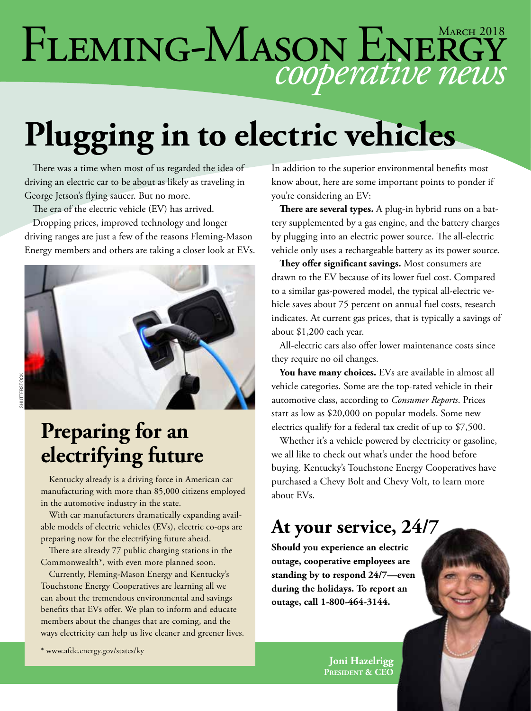## *cooperative news* FLEMING-MASON ENERGY

# **Plugging in to electric vehicles**

There was a time when most of us regarded the idea of driving an electric car to be about as likely as traveling in George Jetson's flying saucer. But no more.

The era of the electric vehicle (EV) has arrived.

Dropping prices, improved technology and longer driving ranges are just a few of the reasons Fleming-Mason Energy members and others are taking a closer look at EVs.



#### **Preparing for an electrifying future**

Kentucky already is a driving force in American car manufacturing with more than 85,000 citizens employed in the automotive industry in the state.

With car manufacturers dramatically expanding available models of electric vehicles (EVs), electric co-ops are preparing now for the electrifying future ahead.

There are already 77 public charging stations in the Commonwealth\*, with even more planned soon.

Currently, Fleming-Mason Energy and Kentucky's Touchstone Energy Cooperatives are learning all we can about the tremendous environmental and savings benefits that EVs offer. We plan to inform and educate members about the changes that are coming, and the ways electricity can help us live cleaner and greener lives.

\* www.afdc.energy.gov/states/ky

In addition to the superior environmental benefits most know about, here are some important points to ponder if you're considering an EV:

**There are several types.** A plug-in hybrid runs on a battery supplemented by a gas engine, and the battery charges by plugging into an electric power source. The all-electric vehicle only uses a rechargeable battery as its power source.

**They offer significant savings.** Most consumers are drawn to the EV because of its lower fuel cost. Compared to a similar gas-powered model, the typical all-electric vehicle saves about 75 percent on annual fuel costs, research indicates. At current gas prices, that is typically a savings of about \$1,200 each year.

All-electric cars also offer lower maintenance costs since they require no oil changes.

**You have many choices.** EVs are available in almost all vehicle categories. Some are the top-rated vehicle in their automotive class, according to *Consumer Reports*. Prices start as low as \$20,000 on popular models. Some new electrics qualify for a federal tax credit of up to \$7,500.

Whether it's a vehicle powered by electricity or gasoline, we all like to check out what's under the hood before buying. Kentucky's Touchstone Energy Cooperatives have purchased a Chevy Bolt and Chevy Volt, to learn more about EVs.

#### **At your service, 24/7**

**Should you experience an electric outage, cooperative employees are standing by to respond 24/7—even during the holidays. To report an outage, call 1-800-464-3144.**

> **Joni Hazelrigg President & CEO**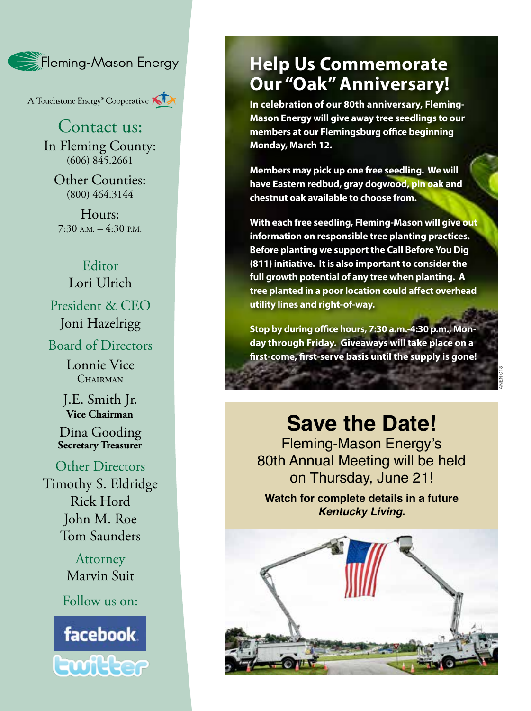

A Touchstone Energy<sup>®</sup> Cooperative

#### Contact us:

In Fleming County:  $(606)$   $845.2661$ 

Other Counties: (800) 464.3144

Hours:  $7:30$  A.M.  $-4:30$  P.M.

#### Editor Lori Ulrich

President & CEO Joni Hazelrigg

Board of Directors

Lonnie Vice CHAIRMAN

J.E. Smith Jr.

Dina Gooding **Secretary Treasurer**

Other Directors Timothy S. Eldridge Rick Hord John M. Roe Tom Saunders

> **Attorney** Marvin Suit

Follow us on:



#### **Help Us Commemorate Our "Oak" Anniversary!**

**In celebration of our 80th anniversary, Fleming-Mason Energy will give away tree seedlings to our members at our Flemingsburg office beginning Monday, March 12.**

**Members may pick up one free seedling. We will have Eastern redbud, gray dogwood, pin oak and chestnut oak available to choose from.**

**With each free seedling, Fleming-Mason will give out information on responsible tree planting practices. Before planting we support the Call Before You Dig (811) initiative. It is also important to consider the full growth potential of any tree when planting. A tree planted in a poor location could affect overhead utility lines and right-of-way.**

**Stop by during office hours, 7:30 a.m.-4:30 p.m., Mon day through Friday. Giveaways will take place on a first-come, first-serve basis until the supply is gone!**

AMENIC181

#### **Save the Date!**

Fleming-Mason Energy's 80th Annual Meeting will be held on Thursday, June 21!

**Watch for complete details in a future**  *Kentucky Living* **.**

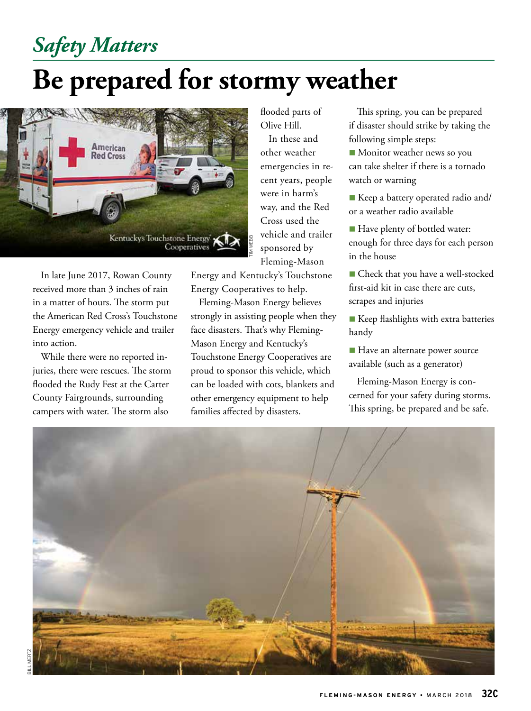### *Safety Matters*

### **Be prepared for stormy weather**



In late June 2017, Rowan County received more than 3 inches of rain in a matter of hours. The storm put the American Red Cross's Touchstone Energy emergency vehicle and trailer into action.

While there were no reported injuries, there were rescues. The storm flooded the Rudy Fest at the Carter County Fairgrounds, surrounding campers with water. The storm also

flooded parts of Olive Hill.

In these and other weather emergencies in recent years, people were in harm's way, and the Red Cross used the vehicle and trailer sponsored by Fleming-Mason

Energy and Kentucky's Touchstone Energy Cooperatives to help.

Fleming-Mason Energy believes strongly in assisting people when they face disasters. That's why Fleming-Mason Energy and Kentucky's Touchstone Energy Cooperatives are proud to sponsor this vehicle, which can be loaded with cots, blankets and other emergency equipment to help families affected by disasters.

This spring, you can be prepared if disaster should strike by taking the following simple steps:

**n** Monitor weather news so you can take shelter if there is a tornado watch or warning

■ Keep a battery operated radio and/ or a weather radio available

■ Have plenty of bottled water: enough for three days for each person in the house

■ Check that you have a well-stocked first-aid kit in case there are cuts, scrapes and injuries

**Keep flashlights with extra batteries** handy

■ Have an alternate power source available (such as a generator)

Fleming-Mason Energy is concerned for your safety during storms. This spring, be prepared and be safe.